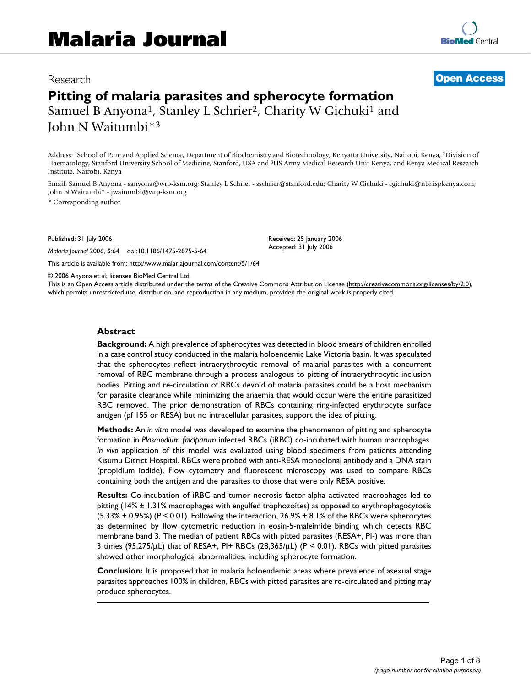# Research **[Open Access](http://www.biomedcentral.com/info/about/charter/) Pitting of malaria parasites and spherocyte formation** Samuel B Anyona<sup>1</sup>, Stanley L Schrier<sup>2</sup>, Charity W Gichuki<sup>1</sup> and John N Waitumbi\*3

Address: 1School of Pure and Applied Science, Department of Biochemistry and Biotechnology, Kenyatta University, Nairobi, Kenya, 2Division of Haematology, Stanford University School of Medicine, Stanford, USA and 3US Army Medical Research Unit-Kenya, and Kenya Medical Research Institute, Nairobi, Kenya

Email: Samuel B Anyona - sanyona@wrp-ksm.org; Stanley L Schrier - sschrier@stanford.edu; Charity W Gichuki - cgichuki@nbi.ispkenya.com; John N Waitumbi\* - jwaitumbi@wrp-ksm.org

\* Corresponding author

Published: 31 July 2006

*Malaria Journal* 2006, **5**:64 doi:10.1186/1475-2875-5-64

[This article is available from: http://www.malariajournal.com/content/5/1/64](http://www.malariajournal.com/content/5/1/64)

Received: 25 January 2006 Accepted: 31 July 2006

© 2006 Anyona et al; licensee BioMed Central Ltd.

This is an Open Access article distributed under the terms of the Creative Commons Attribution License [\(http://creativecommons.org/licenses/by/2.0\)](http://creativecommons.org/licenses/by/2.0), which permits unrestricted use, distribution, and reproduction in any medium, provided the original work is properly cited.

#### **Abstract**

**Background:** A high prevalence of spherocytes was detected in blood smears of children enrolled in a case control study conducted in the malaria holoendemic Lake Victoria basin. It was speculated that the spherocytes reflect intraerythrocytic removal of malarial parasites with a concurrent removal of RBC membrane through a process analogous to pitting of intraerythrocytic inclusion bodies. Pitting and re-circulation of RBCs devoid of malaria parasites could be a host mechanism for parasite clearance while minimizing the anaemia that would occur were the entire parasitized RBC removed. The prior demonstration of RBCs containing ring-infected erythrocyte surface antigen (pf 155 or RESA) but no intracellular parasites, support the idea of pitting.

**Methods:** An *in vitro* model was developed to examine the phenomenon of pitting and spherocyte formation in *Plasmodium falciparum* infected RBCs (iRBC) co-incubated with human macrophages. *In vivo* application of this model was evaluated using blood specimens from patients attending Kisumu Ditrict Hospital. RBCs were probed with anti-RESA monoclonal antibody and a DNA stain (propidium iodide). Flow cytometry and fluorescent microscopy was used to compare RBCs containing both the antigen and the parasites to those that were only RESA positive.

**Results:** Co-incubation of iRBC and tumor necrosis factor-alpha activated macrophages led to pitting (14% ± 1.31% macrophages with engulfed trophozoites) as opposed to erythrophagocytosis  $(5.33% \pm 0.95%)$  (P < 0.01). Following the interaction, 26.9%  $\pm$  8.1% of the RBCs were spherocytes as determined by flow cytometric reduction in eosin-5-maleimide binding which detects RBC membrane band 3. The median of patient RBCs with pitted parasites (RESA+, PI-) was more than 3 times (95,275/μL) that of RESA+, PI+ RBCs (28,365/μL) (P < 0.01). RBCs with pitted parasites showed other morphological abnormalities, including spherocyte formation.

**Conclusion:** It is proposed that in malaria holoendemic areas where prevalence of asexual stage parasites approaches 100% in children, RBCs with pitted parasites are re-circulated and pitting may produce spherocytes.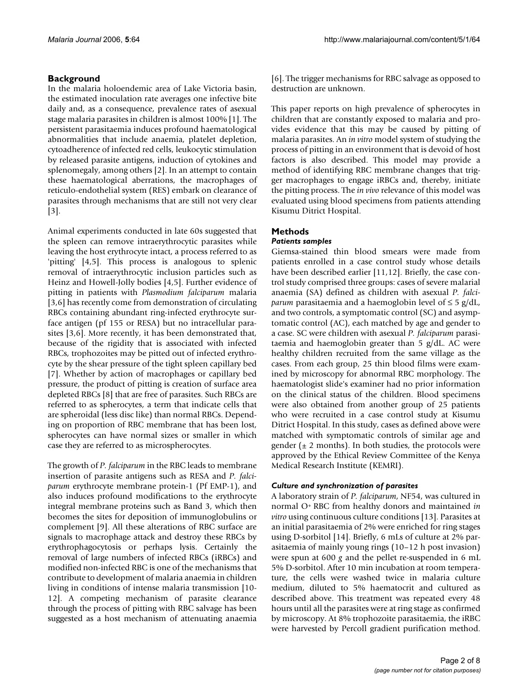### **Background**

In the malaria holoendemic area of Lake Victoria basin, the estimated inoculation rate averages one infective bite daily and, as a consequence, prevalence rates of asexual stage malaria parasites in children is almost 100% [1]. The persistent parasitaemia induces profound haematological abnormalities that include anaemia, platelet depletion, cytoadherence of infected red cells, leukocytic stimulation by released parasite antigens, induction of cytokines and splenomegaly, among others [2]. In an attempt to contain these haematological aberrations, the macrophages of reticulo-endothelial system (RES) embark on clearance of parasites through mechanisms that are still not very clear [[3\]](#page-6-0).

Animal experiments conducted in late 60s suggested that the spleen can remove intraerythrocytic parasites while leaving the host erythrocyte intact, a process referred to as 'pitting' [4,5]. This process is analogous to splenic removal of intraerythrocytic inclusion particles such as Heinz and Howell-Jolly bodies [4,5]. Further evidence of pitting in patients with *Plasmodium falciparum* malaria [[3,](#page-6-0)6] has recently come from demonstration of circulating RBCs containing abundant ring-infected erythrocyte surface antigen (pf 155 or RESA) but no intracellular parasites [[3](#page-6-0),6]. More recently, it has been demonstrated that, because of the rigidity that is associated with infected RBCs, trophozoites may be pitted out of infected erythrocyte by the shear pressure of the tight spleen capillary bed [7]. Whether by action of macrophages or capillary bed pressure, the product of pitting is creation of surface area depleted RBCs [8] that are free of parasites. Such RBCs are referred to as spherocytes, a term that indicate cells that are spheroidal (less disc like) than normal RBCs. Depending on proportion of RBC membrane that has been lost, spherocytes can have normal sizes or smaller in which case they are referred to as microspherocytes.

The growth of *P. falciparum* in the RBC leads to membrane insertion of parasite antigens such as RESA and *P. falciparum* erythrocyte membrane protein-1 (Pf EMP-1), and also induces profound modifications to the erythrocyte integral membrane proteins such as Band 3, which then becomes the sites for deposition of immunoglobulins or complement [9]. All these alterations of RBC surface are signals to macrophage attack and destroy these RBCs by erythrophagocytosis or perhaps lysis. Certainly the removal of large numbers of infected RBCs (iRBCs) and modified non-infected RBC is one of the mechanisms that contribute to development of malaria anaemia in children living in conditions of intense malaria transmission [10- [12\]](#page-7-0). A competing mechanism of parasite clearance through the process of pitting with RBC salvage has been suggested as a host mechanism of attenuating anaemia

[6]. The trigger mechanisms for RBC salvage as opposed to destruction are unknown.

This paper reports on high prevalence of spherocytes in children that are constantly exposed to malaria and provides evidence that this may be caused by pitting of malaria parasites. An *in vitro* model system of studying the process of pitting in an environment that is devoid of host factors is also described. This model may provide a method of identifying RBC membrane changes that trigger macrophages to engage iRBCs and, thereby, initiate the pitting process. The *in vivo* relevance of this model was evaluated using blood specimens from patients attending Kisumu Ditrict Hospital.

## **Methods**

#### *Patients samples*

Giemsa-stained thin blood smears were made from patients enrolled in a case control study whose details have been described earlier [11[,12](#page-7-0)]. Briefly, the case control study comprised three groups: cases of severe malarial anaemia (SA) defined as children with asexual *P. falciparum* parasitaemia and a haemoglobin level of ≤ 5 g/dL, and two controls, a symptomatic control (SC) and asymptomatic control (AC), each matched by age and gender to a case. SC were children with asexual *P. falciparum* parasitaemia and haemoglobin greater than 5 g/dL. AC were healthy children recruited from the same village as the cases. From each group, 25 thin blood films were examined by microscopy for abnormal RBC morphology. The haematologist slide's examiner had no prior information on the clinical status of the children. Blood specimens were also obtained from another group of 25 patients who were recruited in a case control study at Kisumu Ditrict Hospital. In this study, cases as defined above were matched with symptomatic controls of similar age and gender ( $\pm$  2 months). In both studies, the protocols were approved by the Ethical Review Committee of the Kenya Medical Research Institute (KEMRI).

#### *Culture and synchronization of parasites*

A laboratory strain of *P. falciparum*, NF54, was cultured in normal O+ RBC from healthy donors and maintained *in vitro* using continuous culture conditions [13]. Parasites at an initial parasitaemia of 2% were enriched for ring stages using D-sorbitol [14]. Briefly, 6 mLs of culture at 2% parasitaemia of mainly young rings (10–12 h post invasion) were spun at 600 *g* and the pellet re-suspended in 6 mL 5% D-sorbitol. After 10 min incubation at room temperature, the cells were washed twice in malaria culture medium, diluted to 5% haematocrit and cultured as described above. This treatment was repeated every 48 hours until all the parasites were at ring stage as confirmed by microscopy. At 8% trophozoite parasitaemia, the iRBC were harvested by Percoll gradient purification method.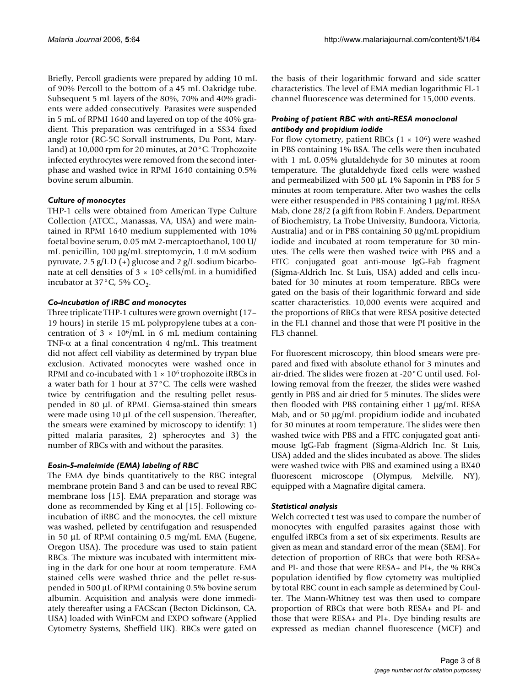Briefly, Percoll gradients were prepared by adding 10 mL of 90% Percoll to the bottom of a 45 mL Oakridge tube. Subsequent 5 mL layers of the 80%, 70% and 40% gradients were added consecutively. Parasites were suspended in 5 mL of RPMI 1640 and layered on top of the 40% gradient. This preparation was centrifuged in a SS34 fixed angle rotor (RC-5C Sorvall instruments, Du Pont, Maryland) at 10,000 rpm for 20 minutes, at 20°C. Trophozoite infected erythrocytes were removed from the second interphase and washed twice in RPMI 1640 containing 0.5% bovine serum albumin.

#### *Culture of monocytes*

THP-1 cells were obtained from American Type Culture Collection (ATCC., Manassas, VA, USA) and were maintained in RPMI 1640 medium supplemented with 10% foetal bovine serum, 0.05 mM 2-mercaptoethanol, 100 U/ mL penicillin, 100 μg/mL streptomycin, 1.0 mM sodium pyruvate, 2.5  $g/L D$  (+) glucose and 2  $g/L$  sodium bicarbonate at cell densities of  $3 \times 10^5$  cells/mL in a humidified incubator at  $37^{\circ}$ C, 5% CO<sub>2</sub>.

#### *Co-incubation of iRBC and monocytes*

Three triplicate THP-1 cultures were grown overnight (17– 19 hours) in sterile 15 mL polypropylene tubes at a concentration of  $3 \times 10^6$ /mL in 6 mL medium containing TNF- $\alpha$  at a final concentration 4 ng/mL. This treatment did not affect cell viability as determined by trypan blue exclusion. Activated monocytes were washed once in RPMI and co-incubated with  $1 \times 10^6$  trophozoite iRBCs in a water bath for 1 hour at 37°C. The cells were washed twice by centrifugation and the resulting pellet resuspended in 80 μL of RPMI. Giemsa-stained thin smears were made using 10 μL of the cell suspension. Thereafter, the smears were examined by microscopy to identify: 1) pitted malaria parasites, 2) spherocytes and 3) the number of RBCs with and without the parasites.

#### *Eosin-5-maleimide (EMA) labeling of RBC*

The EMA dye binds quantitatively to the RBC integral membrane protein Band 3 and can be used to reveal RBC membrane loss [15]. EMA preparation and storage was done as recommended by King et al [15]. Following coincubation of iRBC and the monocytes, the cell mixture was washed, pelleted by centrifugation and resuspended in 50 μL of RPMI containing 0.5 mg/mL EMA (Eugene, Oregon USA). The procedure was used to stain patient RBCs. The mixture was incubated with intermittent mixing in the dark for one hour at room temperature. EMA stained cells were washed thrice and the pellet re-suspended in 500 μL of RPMI containing 0.5% bovine serum albumin. Acquisition and analysis were done immediately thereafter using a FACScan (Becton Dickinson, CA. USA) loaded with WinFCM and EXPO software (Applied Cytometry Systems, Sheffield UK). RBCs were gated on

the basis of their logarithmic forward and side scatter characteristics. The level of EMA median logarithmic FL-1 channel fluorescence was determined for 15,000 events.

#### *Probing of patient RBC with anti-RESA monoclonal antibody and propidium iodide*

For flow cytometry, patient RBCs  $(1 \times 10^6)$  were washed in PBS containing 1% BSA. The cells were then incubated with 1 mL 0.05% glutaldehyde for 30 minutes at room temperature. The glutaldehyde fixed cells were washed and permeabilized with 500 μL 1% Saponin in PBS for 5 minutes at room temperature. After two washes the cells were either resuspended in PBS containing 1 μg/mL RESA Mab, clone 28/2 (a gift from Robin F. Anders, Department of Biochemistry, La Trobe University, Bundoora, Victoria, Australia) and or in PBS containing 50 μg/mL propidium iodide and incubated at room temperature for 30 minutes. The cells were then washed twice with PBS and a FITC conjugated goat anti-mouse IgG-Fab fragment (Sigma-Aldrich Inc. St Luis, USA) added and cells incubated for 30 minutes at room temperature. RBCs were gated on the basis of their logarithmic forward and side scatter characteristics. 10,000 events were acquired and the proportions of RBCs that were RESA positive detected in the FL1 channel and those that were PI positive in the FL3 channel.

For fluorescent microscopy, thin blood smears were prepared and fixed with absolute ethanol for 3 minutes and air-dried. The slides were frozen at -20°C until used. Following removal from the freezer, the slides were washed gently in PBS and air dried for 5 minutes. The slides were then flooded with PBS containing either 1 μg/mL RESA Mab, and or 50 μg/mL propidium iodide and incubated for 30 minutes at room temperature. The slides were then washed twice with PBS and a FITC conjugated goat antimouse IgG-Fab fragment (Sigma-Aldrich Inc. St Luis, USA) added and the slides incubated as above. The slides were washed twice with PBS and examined using a BX40 fluorescent microscope (Olympus, Melville, NY), equipped with a Magnafire digital camera.

#### *Statistical analysis*

Welch corrected t test was used to compare the number of monocytes with engulfed parasites against those with engulfed iRBCs from a set of six experiments. Results are given as mean and standard error of the mean (SEM). For detection of proportion of RBCs that were both RESA+ and PI- and those that were RESA+ and PI+, the % RBCs population identified by flow cytometry was multiplied by total RBC count in each sample as determined by Coulter. The Mann-Whitney test was then used to compare proportion of RBCs that were both RESA+ and PI- and those that were RESA+ and PI+. Dye binding results are expressed as median channel fluorescence (MCF) and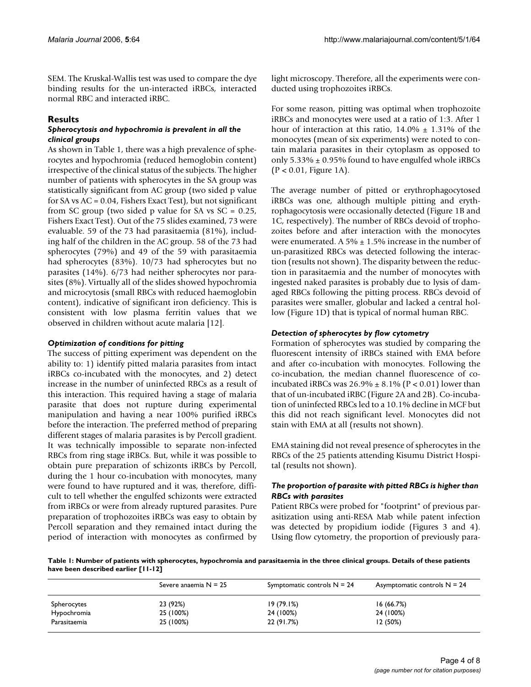SEM. The Kruskal-Wallis test was used to compare the dye binding results for the un-interacted iRBCs, interacted normal RBC and interacted iRBC.

#### **Results**

#### *Spherocytosis and hypochromia is prevalent in all the clinical groups*

As shown in Table 1, there was a high prevalence of spherocytes and hypochromia (reduced hemoglobin content) irrespective of the clinical status of the subjects. The higher number of patients with spherocytes in the SA group was statistically significant from AC group (two sided p value for SA vs AC = 0.04, Fishers Exact Test), but not significant from SC group (two sided p value for SA vs  $SC = 0.25$ , Fishers Exact Test). Out of the 75 slides examined, 73 were evaluable. 59 of the 73 had parasitaemia (81%), including half of the children in the AC group. 58 of the 73 had spherocytes (79%) and 49 of the 59 with parasitaemia had spherocytes (83%). 10/73 had spherocytes but no parasites (14%). 6/73 had neither spherocytes nor parasites (8%). Virtually all of the slides showed hypochromia and microcytosis (small RBCs with reduced haemoglobin content), indicative of significant iron deficiency. This is consistent with low plasma ferritin values that we observed in children without acute malaria [\[12\]](#page-7-0).

#### *Optimization of conditions for pitting*

The success of pitting experiment was dependent on the ability to: 1) identify pitted malaria parasites from intact iRBCs co-incubated with the monocytes, and 2) detect increase in the number of uninfected RBCs as a result of this interaction. This required having a stage of malaria parasite that does not rupture during experimental manipulation and having a near 100% purified iRBCs before the interaction. The preferred method of preparing different stages of malaria parasites is by Percoll gradient. It was technically impossible to separate non-infected RBCs from ring stage iRBCs. But, while it was possible to obtain pure preparation of schizonts iRBCs by Percoll, during the 1 hour co-incubation with monocytes, many were found to have ruptured and it was, therefore, difficult to tell whether the engulfed schizonts were extracted from iRBCs or were from already ruptured parasites. Pure preparation of trophozoites iRBCs was easy to obtain by Percoll separation and they remained intact during the period of interaction with monocytes as confirmed by light microscopy. Therefore, all the experiments were conducted using trophozoites iRBCs.

For some reason, pitting was optimal when trophozoite iRBCs and monocytes were used at a ratio of 1:3. After 1 hour of interaction at this ratio,  $14.0\% \pm 1.31\%$  of the monocytes (mean of six experiments) were noted to contain malaria parasites in their cytoplasm as opposed to only  $5.33\% \pm 0.95\%$  found to have engulfed whole iRBCs (P < 0.01, Figure 1A).

The average number of pitted or erythrophagocytosed iRBCs was one, although multiple pitting and erythrophagocytosis were occasionally detected (Figure 1B and 1C, respectively). The number of RBCs devoid of trophozoites before and after interaction with the monocytes were enumerated. A  $5\% \pm 1.5\%$  increase in the number of un-parasitized RBCs was detected following the interaction (results not shown). The disparity between the reduction in parasitaemia and the number of monocytes with ingested naked parasites is probably due to lysis of damaged RBCs following the pitting process. RBCs devoid of parasites were smaller, globular and lacked a central hollow (Figure 1D) that is typical of normal human RBC.

#### *Detection of spherocytes by flow cytometry*

Formation of spherocytes was studied by comparing the fluorescent intensity of iRBCs stained with EMA before and after co-incubation with monocytes. Following the co-incubation, the median channel fluorescence of coincubated iRBCs was  $26.9\% \pm 8.1\%$  (P < 0.01) lower than that of un-incubated iRBC (Figure 2A and 2B). Co-incubation of uninfected RBCs led to a 10.1% decline in MCF but this did not reach significant level. Monocytes did not stain with EMA at all (results not shown).

EMA staining did not reveal presence of spherocytes in the RBCs of the 25 patients attending Kisumu District Hospital (results not shown).

#### *The proportion of parasite with pitted RBCs is higher than RBCs with parasites*

Patient RBCs were probed for "footprint" of previous parasitization using anti-RESA Mab while patent infection was detected by propidium iodide (Figures 3 and 4). Using flow cytometry, the proportion of previously para-

**Table 1: Number of patients with spherocytes, hypochromia and parasitaemia in the three clinical groups. Details of these patients have been described earlier [11-12]**

|              | Severe anaemia $N = 25$ | Symptomatic controls $N = 24$ | Asymptomatic controls $N = 24$ |
|--------------|-------------------------|-------------------------------|--------------------------------|
| Spherocytes  | 23 (92%)                | 19(79.1%)                     | 16(66.7%)                      |
| Hypochromia  | 25 (100%)               | 24 (100%)                     | 24 (100%)                      |
| Parasitaemia | 25 (100%)               | 22 (91.7%)                    | 12(50%)                        |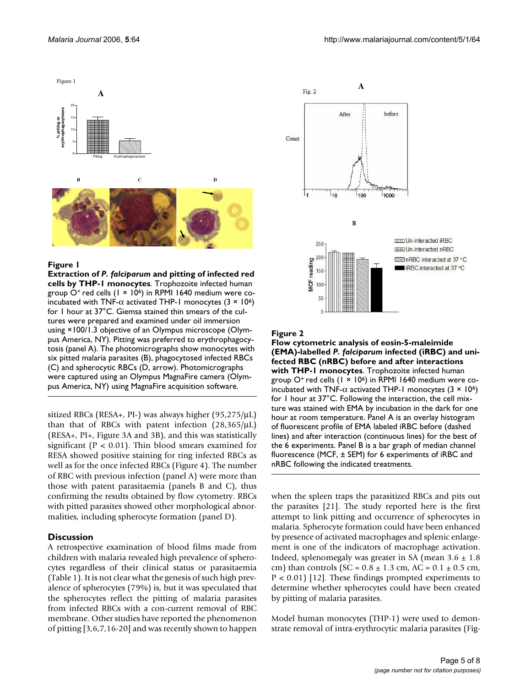

#### Figure 1

**Extraction of** *P. falciparum* **and pitting of infected red cells by THP-1 monocytes**. Trophozoite infected human group  $O^+$  red cells (1 × 10<sup>6</sup>) in RPMI 1640 medium were coincubated with TNF- $\alpha$  activated THP-1 monocytes (3  $\times$  10<sup>6</sup>) for 1 hour at 37°C. Giemsa stained thin smears of the cultures were prepared and examined under oil immersion using ×100/1.3 objective of an Olympus microscope (Olympus America, NY). Pitting was preferred to erythrophagocytosis (panel A). The photomicrographs show monocytes with six pitted malaria parasites (B), phagocytosed infected RBCs (C) and spherocytic RBCs (D, arrow). Photomicrographs were captured using an Olympus MagnaFire camera (Olympus America, NY) using MagnaFire acquisition software.

sitized RBCs (RESA+, PI-) was always higher (95,275/μL) than that of RBCs with patent infection  $(28,365/\mu L)$ (RESA+, PI+, Figure 3A and 3B), and this was statistically significant ( $P < 0.01$ ). Thin blood smears examined for RESA showed positive staining for ring infected RBCs as well as for the once infected RBCs (Figure 4). The number of RBC with previous infection (panel A) were more than those with patent parasitaemia (panels B and C), thus confirming the results obtained by flow cytometry. RBCs with pitted parasites showed other morphological abnormalities, including spherocyte formation (panel D).

#### **Discussion**

A retrospective examination of blood films made from children with malaria revealed high prevalence of spherocytes regardless of their clinical status or parasitaemia (Table 1). It is not clear what the genesis of such high prevalence of spherocytes (79%) is, but it was speculated that the spherocytes reflect the pitting of malaria parasites from infected RBCs with a con-current removal of RBC membrane. Other studies have reported the phenomenon of pitting [\[3](#page-6-0),6,7,16-20] and was recently shown to happen



#### Figure 2

**Flow cytometric analysis of eosin-5-maleimide (EMA)-labelled** *P. falciparum* **infected (iRBC) and unifected RBC (nRBC) before and after interactions with THP-1 monocytes**. Trophozoite infected human group O<sup>+</sup> red cells  $(1 \times 10^6)$  in RPMI 1640 medium were coincubated with TNF- $\alpha$  activated THP-1 monocytes (3  $\times$  10<sup>6</sup>) for 1 hour at 37°C. Following the interaction, the cell mixture was stained with EMA by incubation in the dark for one hour at room temperature. Panel A is an overlay histogram of fluorescent profile of EMA labeled iRBC before (dashed lines) and after interaction (continuous lines) for the best of the 6 experiments. Panel B is a bar graph of median channel fluorescence (MCF, ± SEM) for 6 experiments of iRBC and nRBC following the indicated treatments.

when the spleen traps the parasitized RBCs and pits out the parasites [21]. The study reported here is the first attempt to link pitting and occurrence of spherocytes in malaria. Spherocyte formation could have been enhanced by presence of activated macrophages and splenic enlargement is one of the indicators of macrophage activation. Indeed, splenomegaly was greater in SA (mean  $3.6 \pm 1.8$ ) cm) than controls  $(SC = 0.8 \pm 1.3 \text{ cm}, AC = 0.1 \pm 0.5 \text{ cm},$  $P < 0.01$  [\[12](#page-7-0)]. These findings prompted experiments to determine whether spherocytes could have been created by pitting of malaria parasites.

Model human monocytes (THP-1) were used to demonstrate removal of intra-erythrocytic malaria parasites (Fig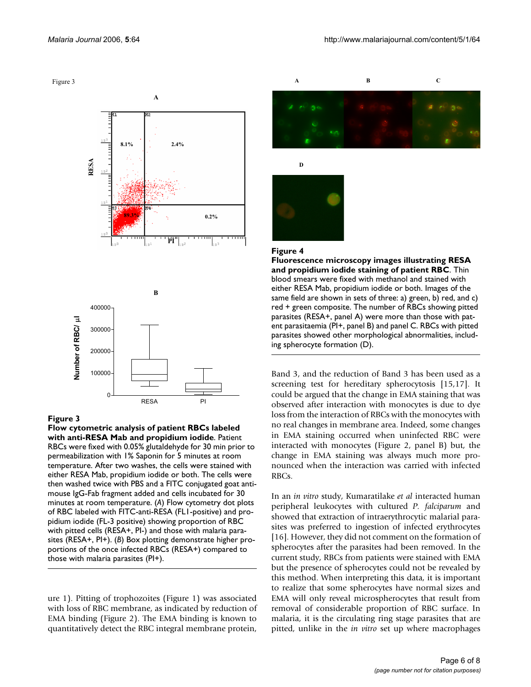Figure 3



#### Figure 3

**Flow cytometric analysis of patient RBCs labeled with anti-RESA Mab and propidium iodide**. Patient RBCs were fixed with 0.05% glutaldehyde for 30 min prior to permeabilization with 1% Saponin for 5 minutes at room temperature. After two washes, the cells were stained with either RESA Mab, propidium iodide or both. The cells were then washed twice with PBS and a FITC conjugated goat antimouse IgG-Fab fragment added and cells incubated for 30 minutes at room temperature. (*A*) Flow cytometry dot plots of RBC labeled with FITC-anti-RESA (FL1-positive) and propidium iodide (FL-3 positive) showing proportion of RBC with pitted cells (RESA+, PI-) and those with malaria parasites (RESA+, PI+). (*B*) Box plotting demonstrate higher proportions of the once infected RBCs (RESA+) compared to those with malaria parasites (PI+).

ure 1). Pitting of trophozoites (Figure 1) was associated with loss of RBC membrane, as indicated by reduction of EMA binding (Figure 2). The EMA binding is known to quantitatively detect the RBC integral membrane protein,



#### Figure 4

**Fluorescence microscopy images illustrating RESA and propidium iodide staining of patient RBC**. Thin blood smears were fixed with methanol and stained with either RESA Mab, propidium iodide or both. Images of the same field are shown in sets of three: a) green, b) red, and c) red + green composite. The number of RBCs showing pitted parasites (RESA+, panel A) were more than those with patent parasitaemia (PI+, panel B) and panel C. RBCs with pitted parasites showed other morphological abnormalities, including spherocyte formation (D).

Band 3, and the reduction of Band 3 has been used as a screening test for hereditary spherocytosis [15,17]. It could be argued that the change in EMA staining that was observed after interaction with monocytes is due to dye loss from the interaction of RBCs with the monocytes with no real changes in membrane area. Indeed, some changes in EMA staining occurred when uninfected RBC were interacted with monocytes (Figure 2, panel B) but, the change in EMA staining was always much more pronounced when the interaction was carried with infected RBCs.

In an *in vitro* study, Kumaratilake *et al* interacted human peripheral leukocytes with cultured *P. falciparum* and showed that extraction of intraerythrocytic malarial parasites was preferred to ingestion of infected erythrocytes [16]. However, they did not comment on the formation of spherocytes after the parasites had been removed. In the current study, RBCs from patients were stained with EMA but the presence of spherocytes could not be revealed by this method. When interpreting this data, it is important to realize that some spherocytes have normal sizes and EMA will only reveal microspherocytes that result from removal of considerable proportion of RBC surface. In malaria, it is the circulating ring stage parasites that are pitted, unlike in the *in vitro* set up where macrophages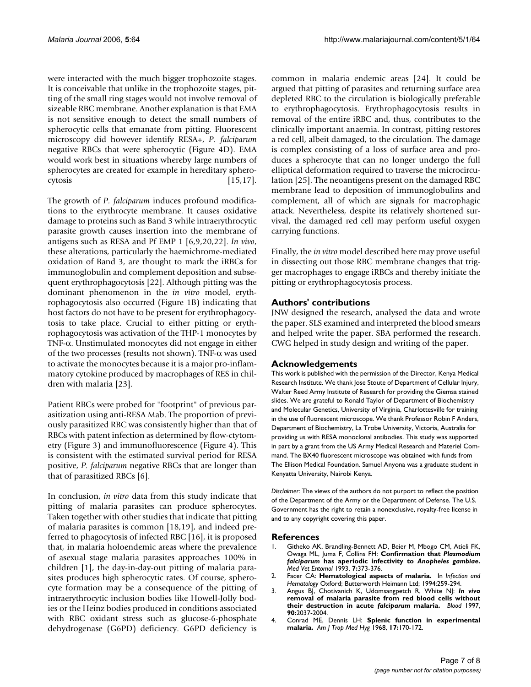were interacted with the much bigger trophozoite stages. It is conceivable that unlike in the trophozoite stages, pitting of the small ring stages would not involve removal of sizeable RBC membrane. Another explanation is that EMA is not sensitive enough to detect the small numbers of spherocytic cells that emanate from pitting. Fluorescent microscopy did however identify RESA+, *P. falciparum* negative RBCs that were spherocytic (Figure 4D). EMA would work best in situations whereby large numbers of spherocytes are created for example in hereditary spherocytosis [15,17].

The growth of *P. falciparum* induces profound modifications to the erythrocyte membrane. It causes oxidative damage to proteins such as Band 3 while intraerythrocytic parasite growth causes insertion into the membrane of antigens such as RESA and Pf EMP 1 [6,9,20,22]. *In vivo*, these alterations, particularly the haemichrome-mediated oxidation of Band 3, are thought to mark the iRBCs for immunoglobulin and complement deposition and subsequent erythrophagocytosis [22]. Although pitting was the dominant phenomenon in the *in vitro* model, erythrophagocytosis also occurred (Figure 1B) indicating that host factors do not have to be present for erythrophagocytosis to take place. Crucial to either pitting or erythrophagocytosis was activation of the THP-1 monocytes by TNF-α. Unstimulated monocytes did not engage in either of the two processes (results not shown). TNF-α was used to activate the monocytes because it is a major pro-inflammatory cytokine produced by macrophages of RES in children with malaria [23].

Patient RBCs were probed for "footprint" of previous parasitization using anti-RESA Mab. The proportion of previously parasitized RBC was consistently higher than that of RBCs with patent infection as determined by flow-ctytometry (Figure 3) and immunofluorescence (Figure 4). This is consistent with the estimated survival period for RESA positive, *P. falciparum* negative RBCs that are longer than that of parasitized RBCs [6].

In conclusion, *in vitro* data from this study indicate that pitting of malaria parasites can produce spherocytes. Taken together with other studies that indicate that pitting of malaria parasites is common [18,19], and indeed preferred to phagocytosis of infected RBC [16], it is proposed that, in malaria holoendemic areas where the prevalence of asexual stage malaria parasites approaches 100% in children [1], the day-in-day-out pitting of malaria parasites produces high spherocytic rates. Of course, spherocyte formation may be a consequence of the pitting of intraerythrocytic inclusion bodies like Howell-Jolly bodies or the Heinz bodies produced in conditions associated with RBC oxidant stress such as glucose-6-phosphate dehydrogenase (G6PD) deficiency. G6PD deficiency is common in malaria endemic areas [24]. It could be argued that pitting of parasites and returning surface area depleted RBC to the circulation is biologically preferable to erythrophagocytosis. Erythrophagocytosis results in removal of the entire iRBC and, thus, contributes to the clinically important anaemia. In contrast, pitting restores a red cell, albeit damaged, to the circulation. The damage is complex consisting of a loss of surface area and produces a spherocyte that can no longer undergo the full elliptical deformation required to traverse the microcirculation [25]. The neoantigens present on the damaged RBC membrane lead to deposition of immunoglobulins and complement, all of which are signals for macrophagic attack. Nevertheless, despite its relatively shortened survival, the damaged red cell may perform useful oxygen carrying functions.

Finally, the *in vitro* model described here may prove useful in dissecting out those RBC membrane changes that trigger macrophages to engage iRBCs and thereby initiate the pitting or erythrophagocytosis process.

#### **Authors' contributions**

JNW designed the research, analysed the data and wrote the paper. SLS examined and interpreted the blood smears and helped write the paper. SBA performed the research. CWG helped in study design and writing of the paper.

#### **Acknowledgements**

This work is published with the permission of the Director, Kenya Medical Research Institute. We thank Jose Stoute of Department of Cellular Injury, Walter Reed Army Institute of Research for providing the Giemsa stained slides. We are grateful to Ronald Taylor of Department of Biochemistry and Molecular Genetics, University of Virginia, Charlottesville for training in the use of fluorescent microscope. We thank Professor Robin F Anders, Department of Biochemistry, La Trobe University, Victoria, Australia for providing us with RESA monoclonal antibodies. This study was supported in part by a grant from the US Army Medical Research and Materiel Command. The BX40 fluorescent microscope was obtained with funds from The Ellison Medical Foundation. Samuel Anyona was a graduate student in Kenyatta University, Nairobi Kenya.

*Disclaimer*: The views of the authors do not purport to reflect the position of the Department of the Army or the Department of Defense. The U.S. Government has the right to retain a nonexclusive, royalty-free license in and to any copyright covering this paper.

#### **References**

- Githeko AK, Brandling-Bennett AD, Beier M, Mbogo CM, Atieli FK, Owaga ML, Juma F, Collins FH: **Confirmation that** *Plasmodium falciparum* **has aperiodic infectivity to** *Anopheles gambiae***[.](http://www.ncbi.nlm.nih.gov/entrez/query.fcgi?cmd=Retrieve&db=PubMed&dopt=Abstract&list_uids=8268494)** *Med Vet Entomol* 1993, **7:**373-376.
- 2. Facer CA: **Hematological aspects of malaria.** In *Infection and Hematology* Oxford; Butterworth Heimann Ltd; 1994:259-294.
- <span id="page-6-0"></span>3. Angus BJ, Chotivanich K, Udomsangpetch R, White NJ: *In vivo* **removal of malaria parasite from red blood cells without their destruction in acute** *falciparum* **[malaria.](http://www.ncbi.nlm.nih.gov/entrez/query.fcgi?cmd=Retrieve&db=PubMed&dopt=Abstract&list_uids=9292540)** *Blood* 1997, **90:**2037-2004.
- 4. Conrad ME, Dennis LH: **[Splenic function in experimental](http://www.ncbi.nlm.nih.gov/entrez/query.fcgi?cmd=Retrieve&db=PubMed&dopt=Abstract&list_uids=4967158) [malaria.](http://www.ncbi.nlm.nih.gov/entrez/query.fcgi?cmd=Retrieve&db=PubMed&dopt=Abstract&list_uids=4967158)** *Am J Trop Med Hyg* 1968, **17:**170-172.